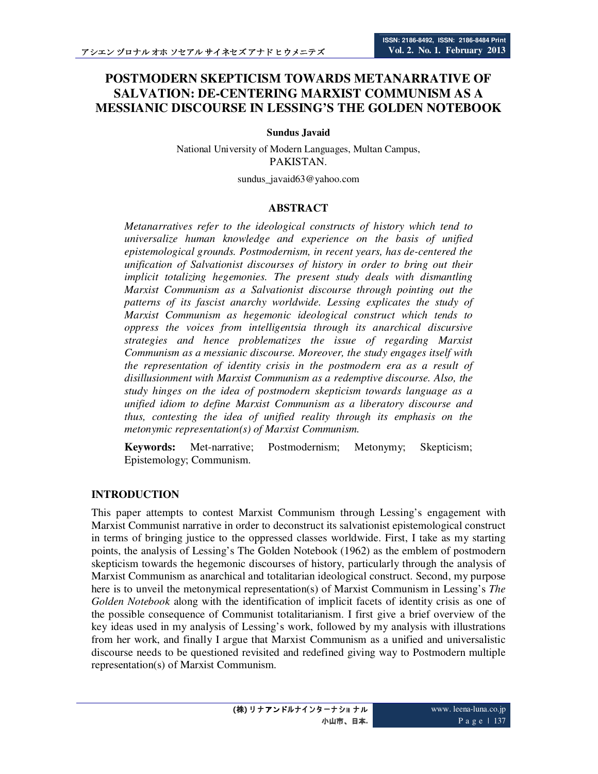# **POSTMODERN SKEPTICISM TOWARDS METANARRATIVE OF SALVATION: DE-CENTERING MARXIST COMMUNISM AS A MESSIANIC DISCOURSE IN LESSING'S THE GOLDEN NOTEBOOK**

**Sundus Javaid** 

National University of Modern Languages, Multan Campus, PAKISTAN.

sundus\_javaid63@yahoo.com

#### **ABSTRACT**

*Metanarratives refer to the ideological constructs of history which tend to universalize human knowledge and experience on the basis of unified epistemological grounds. Postmodernism, in recent years, has de-centered the unification of Salvationist discourses of history in order to bring out their implicit totalizing hegemonies. The present study deals with dismantling Marxist Communism as a Salvationist discourse through pointing out the patterns of its fascist anarchy worldwide. Lessing explicates the study of Marxist Communism as hegemonic ideological construct which tends to oppress the voices from intelligentsia through its anarchical discursive strategies and hence problematizes the issue of regarding Marxist Communism as a messianic discourse. Moreover, the study engages itself with the representation of identity crisis in the postmodern era as a result of disillusionment with Marxist Communism as a redemptive discourse. Also, the study hinges on the idea of postmodern skepticism towards language as a unified idiom to define Marxist Communism as a liberatory discourse and thus, contesting the idea of unified reality through its emphasis on the metonymic representation(s) of Marxist Communism.* 

**Keywords:** Met-narrative; Postmodernism; Metonymy; Skepticism; Epistemology; Communism.

#### **INTRODUCTION**

This paper attempts to contest Marxist Communism through Lessing's engagement with Marxist Communist narrative in order to deconstruct its salvationist epistemological construct in terms of bringing justice to the oppressed classes worldwide. First, I take as my starting points, the analysis of Lessing's The Golden Notebook (1962) as the emblem of postmodern skepticism towards the hegemonic discourses of history, particularly through the analysis of Marxist Communism as anarchical and totalitarian ideological construct. Second, my purpose here is to unveil the metonymical representation(s) of Marxist Communism in Lessing's *The Golden Notebook* along with the identification of implicit facets of identity crisis as one of the possible consequence of Communist totalitarianism. I first give a brief overview of the key ideas used in my analysis of Lessing's work, followed by my analysis with illustrations from her work, and finally I argue that Marxist Communism as a unified and universalistic discourse needs to be questioned revisited and redefined giving way to Postmodern multiple representation(s) of Marxist Communism.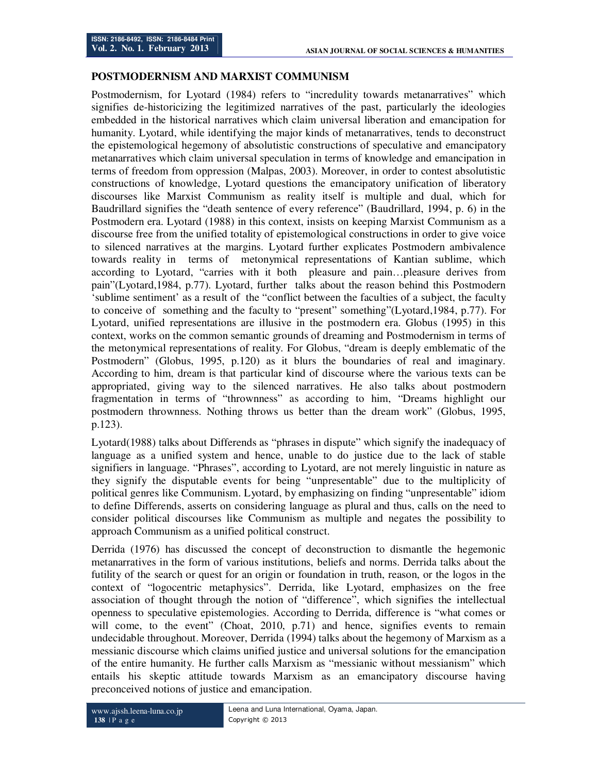#### **POSTMODERNISM AND MARXIST COMMUNISM**

Postmodernism, for Lyotard (1984) refers to "incredulity towards metanarratives" which signifies de-historicizing the legitimized narratives of the past, particularly the ideologies embedded in the historical narratives which claim universal liberation and emancipation for humanity. Lyotard, while identifying the major kinds of metanarratives, tends to deconstruct the epistemological hegemony of absolutistic constructions of speculative and emancipatory metanarratives which claim universal speculation in terms of knowledge and emancipation in terms of freedom from oppression (Malpas, 2003). Moreover, in order to contest absolutistic constructions of knowledge, Lyotard questions the emancipatory unification of liberatory discourses like Marxist Communism as reality itself is multiple and dual, which for Baudrillard signifies the "death sentence of every reference" (Baudrillard, 1994, p. 6) in the Postmodern era. Lyotard (1988) in this context, insists on keeping Marxist Communism as a discourse free from the unified totality of epistemological constructions in order to give voice to silenced narratives at the margins. Lyotard further explicates Postmodern ambivalence towards reality in terms of metonymical representations of Kantian sublime, which according to Lyotard, "carries with it both pleasure and pain…pleasure derives from pain"(Lyotard,1984, p.77). Lyotard, further talks about the reason behind this Postmodern 'sublime sentiment' as a result of the "conflict between the faculties of a subject, the faculty to conceive of something and the faculty to "present" something"(Lyotard,1984, p.77). For Lyotard, unified representations are illusive in the postmodern era. Globus (1995) in this context, works on the common semantic grounds of dreaming and Postmodernism in terms of the metonymical representations of reality. For Globus, "dream is deeply emblematic of the Postmodern" (Globus, 1995, p.120) as it blurs the boundaries of real and imaginary. According to him, dream is that particular kind of discourse where the various texts can be appropriated, giving way to the silenced narratives. He also talks about postmodern fragmentation in terms of "thrownness" as according to him, "Dreams highlight our postmodern thrownness. Nothing throws us better than the dream work" (Globus, 1995, p.123).

Lyotard(1988) talks about Differends as "phrases in dispute" which signify the inadequacy of language as a unified system and hence, unable to do justice due to the lack of stable signifiers in language. "Phrases", according to Lyotard, are not merely linguistic in nature as they signify the disputable events for being "unpresentable" due to the multiplicity of political genres like Communism. Lyotard, by emphasizing on finding "unpresentable" idiom to define Differends, asserts on considering language as plural and thus, calls on the need to consider political discourses like Communism as multiple and negates the possibility to approach Communism as a unified political construct.

Derrida (1976) has discussed the concept of deconstruction to dismantle the hegemonic metanarratives in the form of various institutions, beliefs and norms. Derrida talks about the futility of the search or quest for an origin or foundation in truth, reason, or the logos in the context of "logocentric metaphysics". Derrida, like Lyotard, emphasizes on the free association of thought through the notion of "difference", which signifies the intellectual openness to speculative epistemologies. According to Derrida, difference is "what comes or will come, to the event" (Choat, 2010, p.71) and hence, signifies events to remain undecidable throughout. Moreover, Derrida (1994) talks about the hegemony of Marxism as a messianic discourse which claims unified justice and universal solutions for the emancipation of the entire humanity. He further calls Marxism as "messianic without messianism" which entails his skeptic attitude towards Marxism as an emancipatory discourse having preconceived notions of justice and emancipation.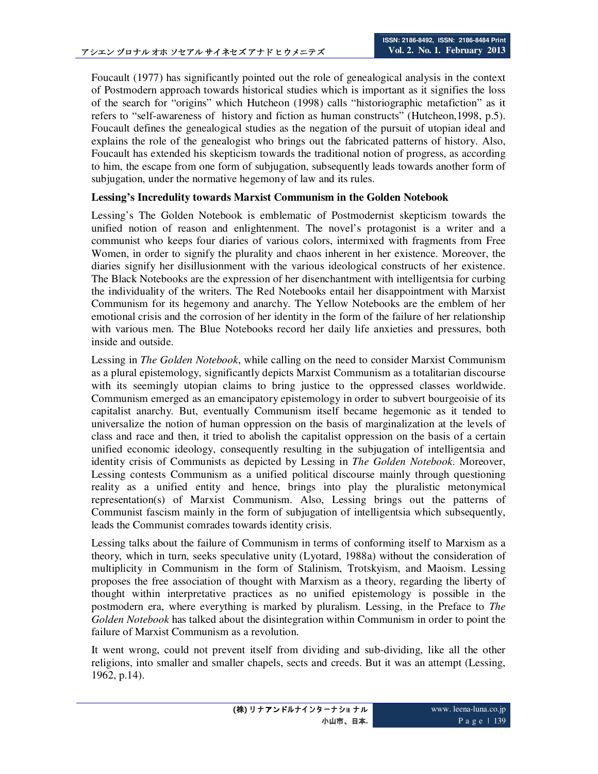Foucault (1977) has significantly pointed out the role of genealogical analysis in the context of Postmodern approach towards historical studies which is important as it signifies the loss of the search for "origins" which Hutcheon (1998) calls "historiographic metafiction" as it refers to "self-awareness of history and fiction as human constructs" (Hutcheon,1998, p.5). Foucault defines the genealogical studies as the negation of the pursuit of utopian ideal and explains the role of the genealogist who brings out the fabricated patterns of history. Also, Foucault has extended his skepticism towards the traditional notion of progress, as according to him, the escape from one form of subjugation, subsequently leads towards another form of subjugation, under the normative hegemony of law and its rules.

## **Lessing's Incredulity towards Marxist Communism in the Golden Notebook**

Lessing's The Golden Notebook is emblematic of Postmodernist skepticism towards the unified notion of reason and enlightenment. The novel's protagonist is a writer and a communist who keeps four diaries of various colors, intermixed with fragments from Free Women, in order to signify the plurality and chaos inherent in her existence. Moreover, the diaries signify her disillusionment with the various ideological constructs of her existence. The Black Notebooks are the expression of her disenchantment with intelligentsia for curbing the individuality of the writers. The Red Notebooks entail her disappointment with Marxist Communism for its hegemony and anarchy. The Yellow Notebooks are the emblem of her emotional crisis and the corrosion of her identity in the form of the failure of her relationship with various men. The Blue Notebooks record her daily life anxieties and pressures, both inside and outside.

Lessing in *The Golden Notebook*, while calling on the need to consider Marxist Communism as a plural epistemology, significantly depicts Marxist Communism as a totalitarian discourse with its seemingly utopian claims to bring justice to the oppressed classes worldwide. Communism emerged as an emancipatory epistemology in order to subvert bourgeoisie of its capitalist anarchy. But, eventually Communism itself became hegemonic as it tended to universalize the notion of human oppression on the basis of marginalization at the levels of class and race and then, it tried to abolish the capitalist oppression on the basis of a certain unified economic ideology, consequently resulting in the subjugation of intelligentsia and identity crisis of Communists as depicted by Lessing in *The Golden Notebook*. Moreover, Lessing contests Communism as a unified political discourse mainly through questioning reality as a unified entity and hence, brings into play the pluralistic metonymical representation(s) of Marxist Communism. Also, Lessing brings out the patterns of Communist fascism mainly in the form of subjugation of intelligentsia which subsequently, leads the Communist comrades towards identity crisis.

Lessing talks about the failure of Communism in terms of conforming itself to Marxism as a theory, which in turn, seeks speculative unity (Lyotard, 1988a) without the consideration of multiplicity in Communism in the form of Stalinism, Trotskyism, and Maoism. Lessing proposes the free association of thought with Marxism as a theory, regarding the liberty of thought within interpretative practices as no unified epistemology is possible in the postmodern era, where everything is marked by pluralism. Lessing, in the Preface to *The Golden Notebook* has talked about the disintegration within Communism in order to point the failure of Marxist Communism as a revolution.

It went wrong, could not prevent itself from dividing and sub-dividing, like all the other religions, into smaller and smaller chapels, sects and creeds. But it was an attempt (Lessing, 1962, p.14).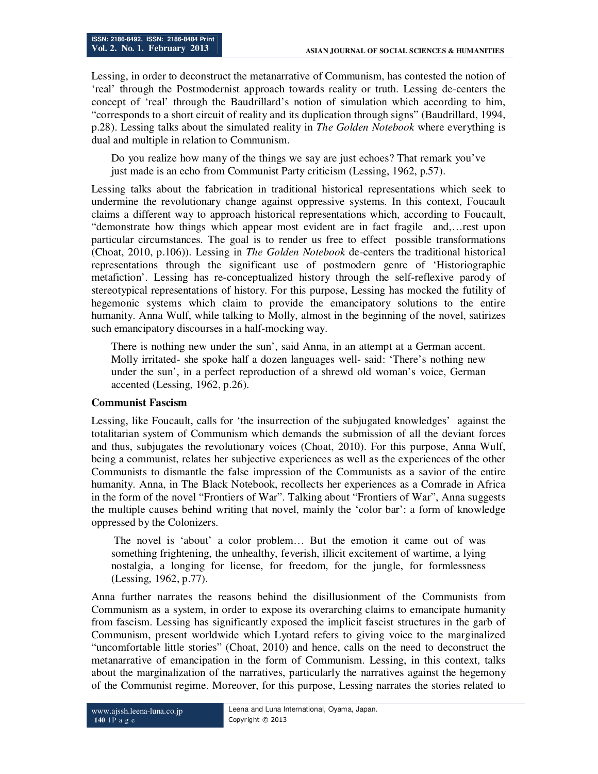Lessing, in order to deconstruct the metanarrative of Communism, has contested the notion of 'real' through the Postmodernist approach towards reality or truth. Lessing de-centers the concept of 'real' through the Baudrillard's notion of simulation which according to him, "corresponds to a short circuit of reality and its duplication through signs" (Baudrillard, 1994, p.28). Lessing talks about the simulated reality in *The Golden Notebook* where everything is dual and multiple in relation to Communism.

Do you realize how many of the things we say are just echoes? That remark you've just made is an echo from Communist Party criticism (Lessing, 1962, p.57).

Lessing talks about the fabrication in traditional historical representations which seek to undermine the revolutionary change against oppressive systems. In this context, Foucault claims a different way to approach historical representations which, according to Foucault, "demonstrate how things which appear most evident are in fact fragile and,…rest upon particular circumstances. The goal is to render us free to effect possible transformations (Choat, 2010, p.106)). Lessing in *The Golden Notebook* de-centers the traditional historical representations through the significant use of postmodern genre of 'Historiographic metafiction'. Lessing has re-conceptualized history through the self-reflexive parody of stereotypical representations of history. For this purpose, Lessing has mocked the futility of hegemonic systems which claim to provide the emancipatory solutions to the entire humanity. Anna Wulf, while talking to Molly, almost in the beginning of the novel, satirizes such emancipatory discourses in a half-mocking way.

There is nothing new under the sun', said Anna, in an attempt at a German accent. Molly irritated- she spoke half a dozen languages well- said: 'There's nothing new under the sun', in a perfect reproduction of a shrewd old woman's voice, German accented (Lessing, 1962, p.26).

#### **Communist Fascism**

Lessing, like Foucault, calls for 'the insurrection of the subjugated knowledges' against the totalitarian system of Communism which demands the submission of all the deviant forces and thus, subjugates the revolutionary voices (Choat, 2010). For this purpose, Anna Wulf, being a communist, relates her subjective experiences as well as the experiences of the other Communists to dismantle the false impression of the Communists as a savior of the entire humanity. Anna, in The Black Notebook, recollects her experiences as a Comrade in Africa in the form of the novel "Frontiers of War". Talking about "Frontiers of War", Anna suggests the multiple causes behind writing that novel, mainly the 'color bar': a form of knowledge oppressed by the Colonizers.

 The novel is 'about' a color problem… But the emotion it came out of was something frightening, the unhealthy, feverish, illicit excitement of wartime, a lying nostalgia, a longing for license, for freedom, for the jungle, for formlessness (Lessing, 1962, p.77).

Anna further narrates the reasons behind the disillusionment of the Communists from Communism as a system, in order to expose its overarching claims to emancipate humanity from fascism. Lessing has significantly exposed the implicit fascist structures in the garb of Communism, present worldwide which Lyotard refers to giving voice to the marginalized "uncomfortable little stories" (Choat, 2010) and hence, calls on the need to deconstruct the metanarrative of emancipation in the form of Communism. Lessing, in this context, talks about the marginalization of the narratives, particularly the narratives against the hegemony of the Communist regime. Moreover, for this purpose, Lessing narrates the stories related to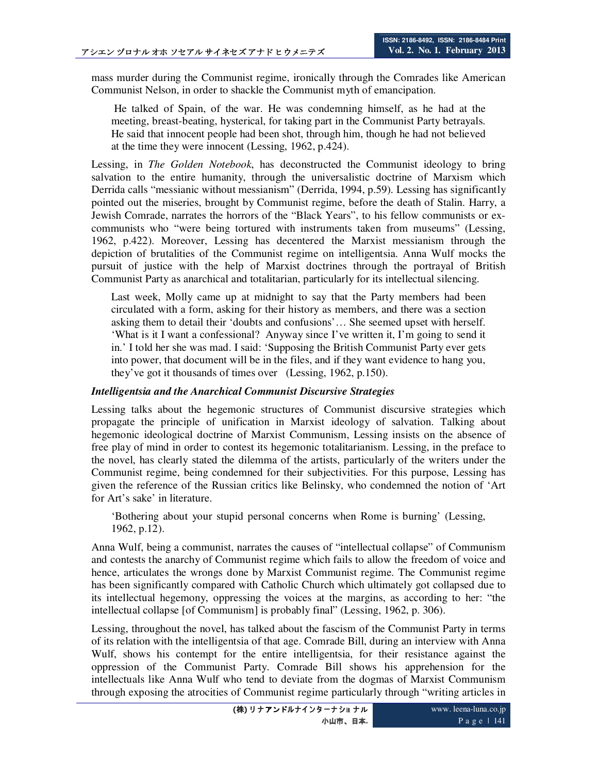mass murder during the Communist regime, ironically through the Comrades like American Communist Nelson, in order to shackle the Communist myth of emancipation.

 He talked of Spain, of the war. He was condemning himself, as he had at the meeting, breast-beating, hysterical, for taking part in the Communist Party betrayals. He said that innocent people had been shot, through him, though he had not believed at the time they were innocent (Lessing, 1962, p.424).

Lessing, in *The Golden Notebook*, has deconstructed the Communist ideology to bring salvation to the entire humanity, through the universalistic doctrine of Marxism which Derrida calls "messianic without messianism" (Derrida, 1994, p.59). Lessing has significantly pointed out the miseries, brought by Communist regime, before the death of Stalin. Harry, a Jewish Comrade, narrates the horrors of the "Black Years", to his fellow communists or excommunists who "were being tortured with instruments taken from museums" (Lessing, 1962, p.422). Moreover, Lessing has decentered the Marxist messianism through the depiction of brutalities of the Communist regime on intelligentsia. Anna Wulf mocks the pursuit of justice with the help of Marxist doctrines through the portrayal of British Communist Party as anarchical and totalitarian, particularly for its intellectual silencing.

Last week, Molly came up at midnight to say that the Party members had been circulated with a form, asking for their history as members, and there was a section asking them to detail their 'doubts and confusions'… She seemed upset with herself. 'What is it I want a confessional? Anyway since I've written it, I'm going to send it in.' I told her she was mad. I said: 'Supposing the British Communist Party ever gets into power, that document will be in the files, and if they want evidence to hang you, they've got it thousands of times over (Lessing, 1962, p.150).

#### *Intelligentsia and the Anarchical Communist Discursive Strategies*

Lessing talks about the hegemonic structures of Communist discursive strategies which propagate the principle of unification in Marxist ideology of salvation. Talking about hegemonic ideological doctrine of Marxist Communism, Lessing insists on the absence of free play of mind in order to contest its hegemonic totalitarianism. Lessing, in the preface to the novel, has clearly stated the dilemma of the artists, particularly of the writers under the Communist regime, being condemned for their subjectivities. For this purpose, Lessing has given the reference of the Russian critics like Belinsky, who condemned the notion of 'Art for Art's sake' in literature.

'Bothering about your stupid personal concerns when Rome is burning' (Lessing, 1962, p.12).

Anna Wulf, being a communist, narrates the causes of "intellectual collapse" of Communism and contests the anarchy of Communist regime which fails to allow the freedom of voice and hence, articulates the wrongs done by Marxist Communist regime. The Communist regime has been significantly compared with Catholic Church which ultimately got collapsed due to its intellectual hegemony, oppressing the voices at the margins, as according to her: "the intellectual collapse [of Communism] is probably final" (Lessing, 1962, p. 306).

Lessing, throughout the novel, has talked about the fascism of the Communist Party in terms of its relation with the intelligentsia of that age. Comrade Bill, during an interview with Anna Wulf, shows his contempt for the entire intelligentsia, for their resistance against the oppression of the Communist Party. Comrade Bill shows his apprehension for the intellectuals like Anna Wulf who tend to deviate from the dogmas of Marxist Communism through exposing the atrocities of Communist regime particularly through "writing articles in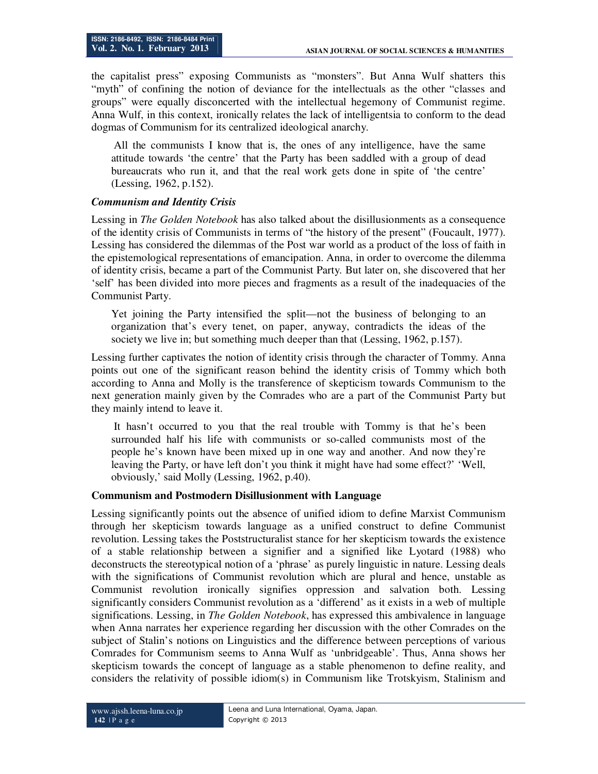the capitalist press" exposing Communists as "monsters". But Anna Wulf shatters this "myth" of confining the notion of deviance for the intellectuals as the other "classes and groups" were equally disconcerted with the intellectual hegemony of Communist regime. Anna Wulf, in this context, ironically relates the lack of intelligentsia to conform to the dead dogmas of Communism for its centralized ideological anarchy.

 All the communists I know that is, the ones of any intelligence, have the same attitude towards 'the centre' that the Party has been saddled with a group of dead bureaucrats who run it, and that the real work gets done in spite of 'the centre' (Lessing, 1962, p.152).

## *Communism and Identity Crisis*

Lessing in *The Golden Notebook* has also talked about the disillusionments as a consequence of the identity crisis of Communists in terms of "the history of the present" (Foucault, 1977). Lessing has considered the dilemmas of the Post war world as a product of the loss of faith in the epistemological representations of emancipation. Anna, in order to overcome the dilemma of identity crisis, became a part of the Communist Party. But later on, she discovered that her 'self' has been divided into more pieces and fragments as a result of the inadequacies of the Communist Party.

Yet joining the Party intensified the split—not the business of belonging to an organization that's every tenet, on paper, anyway, contradicts the ideas of the society we live in; but something much deeper than that (Lessing, 1962, p.157).

Lessing further captivates the notion of identity crisis through the character of Tommy. Anna points out one of the significant reason behind the identity crisis of Tommy which both according to Anna and Molly is the transference of skepticism towards Communism to the next generation mainly given by the Comrades who are a part of the Communist Party but they mainly intend to leave it.

 It hasn't occurred to you that the real trouble with Tommy is that he's been surrounded half his life with communists or so-called communists most of the people he's known have been mixed up in one way and another. And now they're leaving the Party, or have left don't you think it might have had some effect?' 'Well, obviously,' said Molly (Lessing, 1962, p.40).

#### **Communism and Postmodern Disillusionment with Language**

Lessing significantly points out the absence of unified idiom to define Marxist Communism through her skepticism towards language as a unified construct to define Communist revolution. Lessing takes the Poststructuralist stance for her skepticism towards the existence of a stable relationship between a signifier and a signified like Lyotard (1988) who deconstructs the stereotypical notion of a 'phrase' as purely linguistic in nature. Lessing deals with the significations of Communist revolution which are plural and hence, unstable as Communist revolution ironically signifies oppression and salvation both. Lessing significantly considers Communist revolution as a 'differend' as it exists in a web of multiple significations. Lessing, in *The Golden Notebook*, has expressed this ambivalence in language when Anna narrates her experience regarding her discussion with the other Comrades on the subject of Stalin's notions on Linguistics and the difference between perceptions of various Comrades for Communism seems to Anna Wulf as 'unbridgeable'. Thus, Anna shows her skepticism towards the concept of language as a stable phenomenon to define reality, and considers the relativity of possible idiom(s) in Communism like Trotskyism, Stalinism and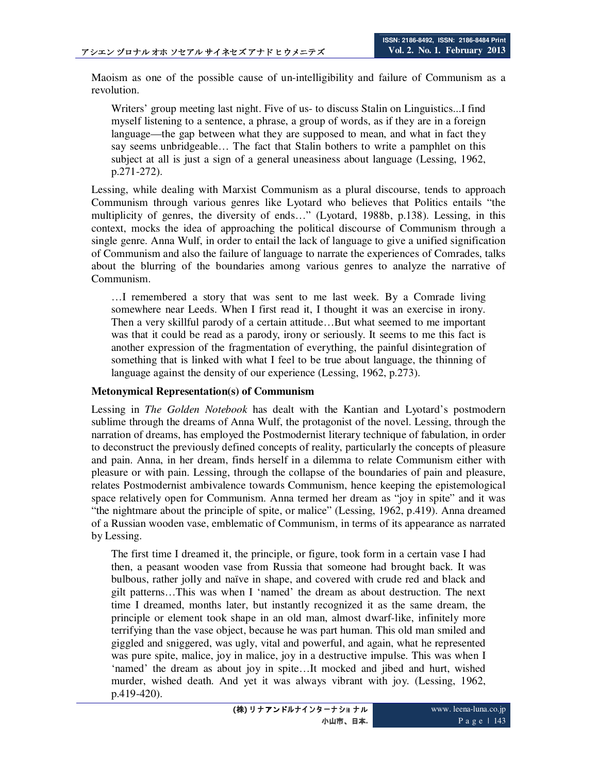Maoism as one of the possible cause of un-intelligibility and failure of Communism as a revolution.

Writers' group meeting last night. Five of us- to discuss Stalin on Linguistics...I find myself listening to a sentence, a phrase, a group of words, as if they are in a foreign language—the gap between what they are supposed to mean, and what in fact they say seems unbridgeable… The fact that Stalin bothers to write a pamphlet on this subject at all is just a sign of a general uneasiness about language (Lessing, 1962, p.271-272).

Lessing, while dealing with Marxist Communism as a plural discourse, tends to approach Communism through various genres like Lyotard who believes that Politics entails "the multiplicity of genres, the diversity of ends…" (Lyotard, 1988b, p.138). Lessing, in this context, mocks the idea of approaching the political discourse of Communism through a single genre. Anna Wulf, in order to entail the lack of language to give a unified signification of Communism and also the failure of language to narrate the experiences of Comrades, talks about the blurring of the boundaries among various genres to analyze the narrative of Communism.

…I remembered a story that was sent to me last week. By a Comrade living somewhere near Leeds. When I first read it, I thought it was an exercise in irony. Then a very skillful parody of a certain attitude...But what seemed to me important was that it could be read as a parody, irony or seriously. It seems to me this fact is another expression of the fragmentation of everything, the painful disintegration of something that is linked with what I feel to be true about language, the thinning of language against the density of our experience (Lessing, 1962, p.273).

#### **Metonymical Representation(s) of Communism**

Lessing in *The Golden Notebook* has dealt with the Kantian and Lyotard's postmodern sublime through the dreams of Anna Wulf, the protagonist of the novel. Lessing, through the narration of dreams, has employed the Postmodernist literary technique of fabulation, in order to deconstruct the previously defined concepts of reality, particularly the concepts of pleasure and pain. Anna, in her dream, finds herself in a dilemma to relate Communism either with pleasure or with pain. Lessing, through the collapse of the boundaries of pain and pleasure, relates Postmodernist ambivalence towards Communism, hence keeping the epistemological space relatively open for Communism. Anna termed her dream as "joy in spite" and it was "the nightmare about the principle of spite, or malice" (Lessing, 1962, p.419). Anna dreamed of a Russian wooden vase, emblematic of Communism, in terms of its appearance as narrated by Lessing.

The first time I dreamed it, the principle, or figure, took form in a certain vase I had then, a peasant wooden vase from Russia that someone had brought back. It was bulbous, rather jolly and naïve in shape, and covered with crude red and black and gilt patterns…This was when I 'named' the dream as about destruction. The next time I dreamed, months later, but instantly recognized it as the same dream, the principle or element took shape in an old man, almost dwarf-like, infinitely more terrifying than the vase object, because he was part human. This old man smiled and giggled and sniggered, was ugly, vital and powerful, and again, what he represented was pure spite, malice, joy in malice, joy in a destructive impulse. This was when I 'named' the dream as about joy in spite…It mocked and jibed and hurt, wished murder, wished death. And yet it was always vibrant with joy. (Lessing, 1962, p.419-420).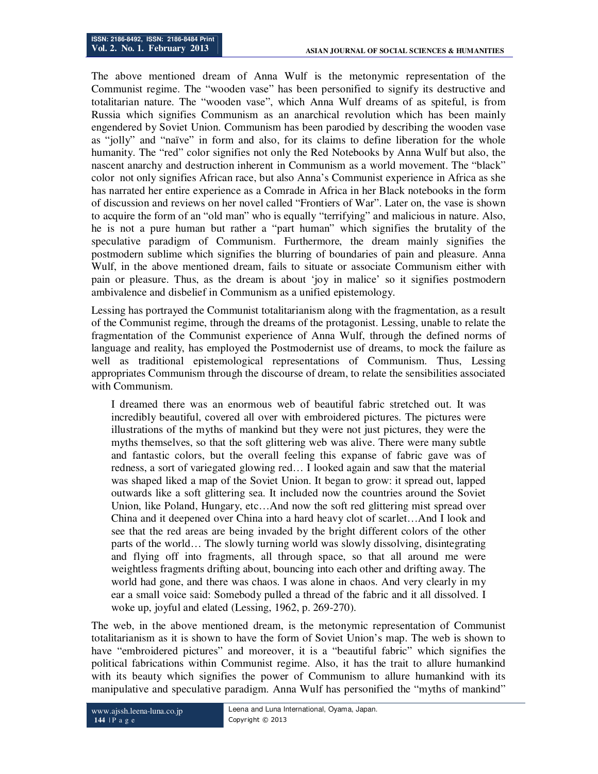The above mentioned dream of Anna Wulf is the metonymic representation of the Communist regime. The "wooden vase" has been personified to signify its destructive and totalitarian nature. The "wooden vase", which Anna Wulf dreams of as spiteful, is from Russia which signifies Communism as an anarchical revolution which has been mainly engendered by Soviet Union. Communism has been parodied by describing the wooden vase as "jolly" and "naïve" in form and also, for its claims to define liberation for the whole humanity. The "red" color signifies not only the Red Notebooks by Anna Wulf but also, the nascent anarchy and destruction inherent in Communism as a world movement. The "black" color not only signifies African race, but also Anna's Communist experience in Africa as she has narrated her entire experience as a Comrade in Africa in her Black notebooks in the form of discussion and reviews on her novel called "Frontiers of War". Later on, the vase is shown to acquire the form of an "old man" who is equally "terrifying" and malicious in nature. Also, he is not a pure human but rather a "part human" which signifies the brutality of the speculative paradigm of Communism. Furthermore, the dream mainly signifies the postmodern sublime which signifies the blurring of boundaries of pain and pleasure. Anna Wulf, in the above mentioned dream, fails to situate or associate Communism either with pain or pleasure. Thus, as the dream is about 'joy in malice' so it signifies postmodern ambivalence and disbelief in Communism as a unified epistemology.

Lessing has portrayed the Communist totalitarianism along with the fragmentation, as a result of the Communist regime, through the dreams of the protagonist. Lessing, unable to relate the fragmentation of the Communist experience of Anna Wulf, through the defined norms of language and reality, has employed the Postmodernist use of dreams, to mock the failure as well as traditional epistemological representations of Communism. Thus, Lessing appropriates Communism through the discourse of dream, to relate the sensibilities associated with Communism.

I dreamed there was an enormous web of beautiful fabric stretched out. It was incredibly beautiful, covered all over with embroidered pictures. The pictures were illustrations of the myths of mankind but they were not just pictures, they were the myths themselves, so that the soft glittering web was alive. There were many subtle and fantastic colors, but the overall feeling this expanse of fabric gave was of redness, a sort of variegated glowing red… I looked again and saw that the material was shaped liked a map of the Soviet Union. It began to grow: it spread out, lapped outwards like a soft glittering sea. It included now the countries around the Soviet Union, like Poland, Hungary, etc…And now the soft red glittering mist spread over China and it deepened over China into a hard heavy clot of scarlet…And I look and see that the red areas are being invaded by the bright different colors of the other parts of the world… The slowly turning world was slowly dissolving, disintegrating and flying off into fragments, all through space, so that all around me were weightless fragments drifting about, bouncing into each other and drifting away. The world had gone, and there was chaos. I was alone in chaos. And very clearly in my ear a small voice said: Somebody pulled a thread of the fabric and it all dissolved. I woke up, joyful and elated (Lessing, 1962, p. 269-270).

The web, in the above mentioned dream, is the metonymic representation of Communist totalitarianism as it is shown to have the form of Soviet Union's map. The web is shown to have "embroidered pictures" and moreover, it is a "beautiful fabric" which signifies the political fabrications within Communist regime. Also, it has the trait to allure humankind with its beauty which signifies the power of Communism to allure humankind with its manipulative and speculative paradigm. Anna Wulf has personified the "myths of mankind"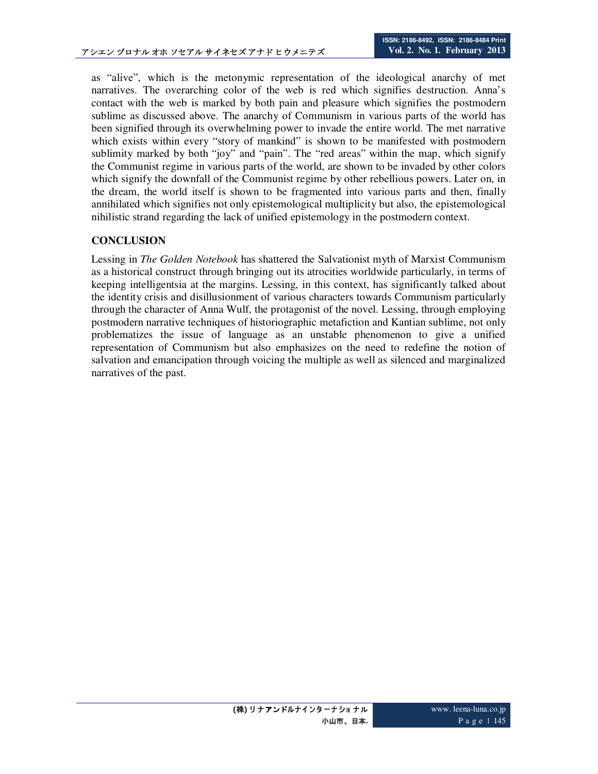as "alive", which is the metonymic representation of the ideological anarchy of met narratives. The overarching color of the web is red which signifies destruction. Anna's contact with the web is marked by both pain and pleasure which signifies the postmodern sublime as discussed above. The anarchy of Communism in various parts of the world has been signified through its overwhelming power to invade the entire world. The met narrative which exists within every "story of mankind" is shown to be manifested with postmodern sublimity marked by both "joy" and "pain". The "red areas" within the map, which signify the Communist regime in various parts of the world, are shown to be invaded by other colors which signify the downfall of the Communist regime by other rebellious powers. Later on, in the dream, the world itself is shown to be fragmented into various parts and then, finally annihilated which signifies not only epistemological multiplicity but also, the epistemological nihilistic strand regarding the lack of unified epistemology in the postmodern context.

# **CONCLUSION**

Lessing in *The Golden Notebook* has shattered the Salvationist myth of Marxist Communism as a historical construct through bringing out its atrocities worldwide particularly, in terms of keeping intelligentsia at the margins. Lessing, in this context, has significantly talked about the identity crisis and disillusionment of various characters towards Communism particularly through the character of Anna Wulf, the protagonist of the novel. Lessing, through employing postmodern narrative techniques of historiographic metafiction and Kantian sublime, not only problematizes the issue of language as an unstable phenomenon to give a unified representation of Communism but also emphasizes on the need to redefine the notion of salvation and emancipation through voicing the multiple as well as silenced and marginalized narratives of the past.